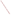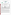# **THE ENVIRONMENTAL TECHNOLOGY VERIFICATION**







# **ETV Joint Verification Statement**

|                                                           | TECHNOLOGY TYPE: IMMUNOASSAY TEST KITS                  |      |                     |  |
|-----------------------------------------------------------|---------------------------------------------------------|------|---------------------|--|
| <b>APPLICATION:</b>                                       | DETECTING ANTHRAX, BOTULINUM TOXIN, AND<br><b>RICIN</b> |      |                     |  |
| <b>TECHNOLOGY NAME: Enzyme-Linked Immunosorbent Assay</b> |                                                         |      |                     |  |
| <b>COMPANY:</b>                                           | Tetracore, Inc.                                         |      |                     |  |
| <b>ADDRESS:</b>                                           | 11 Firstfield Road, Suite C                             |      | PHONE: 301-258-7553 |  |
|                                                           | Gaithersburg, MD 20878                                  | FAX: | 301-258-9740        |  |
| <b>WEB SITE:</b>                                          | www.tetracore.com/                                      |      |                     |  |
| $E\text{-}MAIL:$                                          | tobrien@tetracore.com                                   |      |                     |  |

The U.S. Environmental Protection Agency (EPA) supports the Environmental Technology Verification (ETV) Program to facilitate the deployment of innovative or improved environmental technologies through performance verification and dissemination of information. The goal of the ETV Program is to further environmental protection by accelerating the acceptance and use of improved and cost-effective technologies. ETV seeks to achieve this goal by providing high-quality, peer-reviewed data on technology performance to those involved in the design, distribution, financing, permitting, purchase, and use of environmental technologies. Information and ETV documents are available at www.epa.gov/etv.

ETV works in partnership with recognized standards and testing organizations, with stakeholder groups (consisting of buyers, vendor organizations, and permitters), and with individual technology developers. The program evaluates the performance of innovative technologies by developing test plans that are responsive to the needs of stakeholders, conducting field or laboratory tests (as appropriate), collecting and analyzing data, and preparing peer-reviewed reports. All evaluations are conducted in accordance with rigorous quality assurance (QA) protocols to ensure that data of known and adequate quality are generated and that the results are defensible.

The Advanced Monitoring Systems (AMS) Center, one of six verification centers under ETV, is operated by Battelle in cooperation with EPA's National Exposure Research Laboratory. The AMS Center has recently evaluated the performance of immunoassay test kits used to detect anthrax, botulinum toxin, and ricin. This verification statement provides a summary of the test results for the Tetracore, Inc., enzyme-linked immunosorbent assay (ELISA).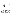#### **VERIFICATION TEST DESCRIPTION**

The ability of the Tetracore ELISA to individually detect various concentrations of anthrax spores, botulinum toxin, and ricin was evaluated between January 14 and April 23, 2004, by analyzing performance test (PT) and drinking water (DW) samples. PT samples included deionized (DI) water fortified with either the target contaminant, an interferent, both, or only a cross-reactive species. In addition to the PT and DW samples analyzed, method blank (MB) samples consisting of DI water also were analyzed to confirm negative responses in the absence of contaminants and to ensure that no sources of contamination were introduced during the analysis procedures. Verification test results showed how effective the Tetracore ELISA was at detecting the presence of each contaminant at several concentration levels, the consistency of the responses, and the susceptibility of the Tetracore ELISA to selected interferents and cross-reactive species. In most cases, three replicates of each PT and DW sample were analyzed to evaluate the reproducibility of the Tetracore ELISA results. Approximately 120 liters (L) of four DW samples were collected from geographically distributed municipal sources located in Florida (FL), New York (NY), Ohio (OH), and California (CA). These samples were dechlorinated with sodium thiosulfate, and then 100 L of each sample were concentrated using an ultra-filtration technique to a final volume of 250 milliliters (mL). Each DW sample (non-concentrated and concentrated) was analyzed without adding any contaminant, as well as after fortification with individual contaminants at a single concentration level to evaluate the effect of the DW matrix on the performance of the Tetracore ELISA. During the anthrax spore PT sample analysis, the lowest detectable concentration of the Tetracore ELISA was shown to be much higher than claimed by the vendor. Therefore, two preparations of spores were analyzed to further investigate these results. The two preparations included spores prepared at Battelle and preserved in a solution of water and phenol and spores prepared at Dugway Proving Ground and stored in spent culture media. Most of the samples analyzed were made from the Battelle-prepared, phenol-preserved spores. The other preparation was used to determine if the phenol preservation or the preparation technique was negatively affecting the sensitivity of the Tetracore ELISA. Solutions of vegetative anthrax cells also were analyzed to determine the sensitivity of the Tetracore ELISA to vegetative anthrax cells.

QA oversight of verification testing was provided by Battelle and EPA. Battelle QA staff conducted a technical systems audit and a data quality audit of 10% of the test data. This verification statement, the full report on which it is based, and the test/QA plan for this verification are all available at www.epa.gov/etv/centers/center1.html.

## **TECHNOLOGY DESCRIPTION**

The following description of Tetracore ELISA was provided by the vendor and was not subjected to verification in this test.

The antigen-capture Tetracore ELISA detects antigens in samples by capturing them between a sandwich of antibodies. The immunosorbent assay uses immunological reagents to identify antibodies. The Tetracore ELISA can be read qualitatively (visually) and recorded by hand or quantitatively (using a photometer that measures and prints out the optical density of fluid samples in the microplate). Readings were made qualitatively during this verification test. To perform a test, positive and negative capture antibody reagents are applied to alternating wells of a 96-well plate, where they are passively adsorbed. If the target antigen is present in a sample, it will bind to the reagent. A detector antibody forms the top of the sandwich and binds to any antigen in the sample after it is captured. The conjugate, to which the enzyme is covalently bound, is the third reagent added; and it binds to the detector antibody. The substrate, added after the conjugate, contains 2,2'-azinobis(3-ethylbenzthiazoline-6 sulfonate), which, in the presence of horseradish peroxidase, changes to a bright green. The amount of color change is directly proportional to the amount of horseradish peroxidase present, which correlates to the amount of antigen (target contaminant) bound in the sandwich. The color change confirms the "capture" of antigen by the antibody reagents. For 48 samples, the process takes approximately 5 hours. The Tetracore ELISA includes two 96-well plates, dilution buffer, wash buffer, and the appropriate reagents needed for the analysis. The 96-well microplate is 12.5 centimeters (cm) by 8 cm. One Tetracore ELISA (positive and negative coated wells) costs \$400.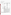## **VERIFICATION OF PERFORMANCE**

The tables below summarize the performance of the Tetracore ELISA in detecting anthrax, botulinum toxin, and ricin.

#### **Anthrax Summary Table**

|                                 |                  |                                                                                                           | <b>Actual Fortified Anthrax</b>          | <b>Positive Results Out</b> |  |
|---------------------------------|------------------|-----------------------------------------------------------------------------------------------------------|------------------------------------------|-----------------------------|--|
| <b>Parameter</b>                |                  | <b>Sample Information</b>                                                                                 | Concentration <sup>(a)</sup>             | of Total Replicates         |  |
|                                 |                  |                                                                                                           | $8 \times 10^8$ spores/mL                | 3/3                         |  |
|                                 |                  | Battelle-prepared, phenol-                                                                                | $8 \times 10^7$ spores/mL                | 3/3                         |  |
|                                 |                  | preserved spores                                                                                          | $8 \times 10^6$ spores/mL                | 3/3                         |  |
|                                 |                  |                                                                                                           | $8 \times 10^5$ spores/mL                | 0/3                         |  |
|                                 |                  |                                                                                                           | $3 \times 10^5$ colony-forming           | 3/3                         |  |
|                                 | Contaminant-     |                                                                                                           | units (cfu/mL)                           |                             |  |
|                                 | only PT samples  | Vegetative cells                                                                                          | $3 \times 10^4$ cfu/mL                   | 3/3                         |  |
|                                 |                  |                                                                                                           | $3 \times 10^3$ cfu/mL                   | 0/3                         |  |
|                                 |                  |                                                                                                           | $3 \times 10^3$ cfu/mL                   | 0/3                         |  |
|                                 |                  |                                                                                                           | $8 \times 10^6$ spores/mL                | 0/3                         |  |
| Qualitative                     |                  | Dugway-prepared spores                                                                                    | $8 \times 10^5$ spores/mL                | 0/3                         |  |
| contaminant                     |                  |                                                                                                           | $8 \times 10^4$ spores/mL                | 0/3                         |  |
| results                         |                  |                                                                                                           | $8 \times 10^3$ spores/mL                | 0/3                         |  |
|                                 |                  | 230 mg/L Calcium (Ca)<br>90 mg/L Magnesium (Mg)                                                           | $8 \times 10^7$ spores/mL <sup>(b)</sup> | 3/3                         |  |
|                                 | Interferent      | 2.5 mg/L humic acid<br>2.5 mg/L fulvic acid                                                               | $1 \times 10^8$ spores/mL <sup>(b)</sup> | 3/3                         |  |
|                                 | PT samples       | Humic acid and fulvic acid                                                                                | $2 \times 10^6$ spores/mL <sup>(b)</sup> | 6/6                         |  |
|                                 |                  | Ca and Mg                                                                                                 | $2 \times 10^6$ spores/mL                | 0/6                         |  |
|                                 |                  | Concentrated CA                                                                                           | $5 \times 10^7$ spores/mL <sup>(b)</sup> | 3/3                         |  |
|                                 | DW samples       | Concentrated NY                                                                                           | $5 \times 10^7$ spores/mL <sup>(b)</sup> | 3/3                         |  |
|                                 |                  | Unconcentrated DW                                                                                         | $2\times10^6$ spores/mL                  | 0/24                        |  |
|                                 | Cross-reactivity | $1 \times 10^4$ spores/mL                                                                                 |                                          |                             |  |
|                                 |                  | <b>Bacillus</b> thuringiensis                                                                             | unspiked                                 | 0/3                         |  |
|                                 |                  | No false positives resulted from the analysis of the interferent, DW, or cross-reactivity                 |                                          |                             |  |
|                                 |                  | samples. However, two humic and fulvic acid samples, spiked at concentrations below                       |                                          |                             |  |
|                                 |                  | what was detectable in DI water, generated positive results. Bacillus thuringiensis was                   |                                          |                             |  |
| False positives                 |                  | prepared at concentrations much lower than the lowest detectable concentration of                         |                                          |                             |  |
|                                 |                  | Bacillus anthracis. Therefore, negative results with these samples do not necessarily                     |                                          |                             |  |
|                                 |                  | indicate a lack of cross-reactivity.                                                                      |                                          |                             |  |
|                                 |                  | No false negative results were generated for the analysis of interferent or DW samples                    |                                          |                             |  |
|                                 |                  | spiked with detectable levels of anthrax. Tetracore ELISA was not able to detect                          |                                          |                             |  |
| False negatives                 |                  | anthrax at the vendor-stated limit of detection (LOD), but was able to at much higher                     |                                          |                             |  |
|                                 |                  | concentrations. All of the unconcentrated DW samples and six Ca and Mg samples                            |                                          |                             |  |
|                                 |                  | were spiked at concentrations less than detectable and, therefore, were, as expected,                     |                                          |                             |  |
|                                 |                  | negative.                                                                                                 |                                          |                             |  |
| Consistency                     |                  | 100% (47 out of 47) of the results were obtained in replicate sets in which all the                       |                                          |                             |  |
|                                 |                  | individual replicates had the same result, whether positive or negative.                                  |                                          |                             |  |
| Lowest detectable concentration |                  | $8 \times 10^6$ spores/mL - Battelle prep (vendor-stated LOD: $2 \times 10^4$ spores/mL); $3 \times 10^4$ |                                          |                             |  |
|                                 |                  | cfu/mL - vegetative anthrax (no vendor-stated LOD); the Dugway preparation of spores                      |                                          |                             |  |
|                                 |                  | was not detectable at concentrations up to $8 \times 10^6$ spores/mL                                      |                                          |                             |  |

 $\alpha$ <sup>(a)</sup> The uncertainty of the enumeration technique is approximately 15%.

(b) Battelle-prepared, phenol-preserved spores.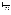| Parameter                                                                                                                                                                       |                                                                                                                                                                                                                                                                                                                                | <b>Sample Information</b>                                                                                                                                                                                                                                                                                                                                                                                                                                                                                                                | <b>Botulinum Toxin</b><br>Concentration (mg/L) | <b>Positive Results Out</b><br>of Total Replicates |
|---------------------------------------------------------------------------------------------------------------------------------------------------------------------------------|--------------------------------------------------------------------------------------------------------------------------------------------------------------------------------------------------------------------------------------------------------------------------------------------------------------------------------|------------------------------------------------------------------------------------------------------------------------------------------------------------------------------------------------------------------------------------------------------------------------------------------------------------------------------------------------------------------------------------------------------------------------------------------------------------------------------------------------------------------------------------------|------------------------------------------------|----------------------------------------------------|
|                                                                                                                                                                                 |                                                                                                                                                                                                                                                                                                                                |                                                                                                                                                                                                                                                                                                                                                                                                                                                                                                                                          | 0.004                                          | 0/3                                                |
|                                                                                                                                                                                 |                                                                                                                                                                                                                                                                                                                                |                                                                                                                                                                                                                                                                                                                                                                                                                                                                                                                                          | 0.02                                           | 3/3                                                |
|                                                                                                                                                                                 |                                                                                                                                                                                                                                                                                                                                | Type A                                                                                                                                                                                                                                                                                                                                                                                                                                                                                                                                   | 0.04                                           | 3/3                                                |
|                                                                                                                                                                                 | Contaminant-                                                                                                                                                                                                                                                                                                                   |                                                                                                                                                                                                                                                                                                                                                                                                                                                                                                                                          | 0.2                                            | 3/3                                                |
|                                                                                                                                                                                 | only PT                                                                                                                                                                                                                                                                                                                        |                                                                                                                                                                                                                                                                                                                                                                                                                                                                                                                                          | 0.004                                          | 2/3                                                |
|                                                                                                                                                                                 | samples                                                                                                                                                                                                                                                                                                                        |                                                                                                                                                                                                                                                                                                                                                                                                                                                                                                                                          | 0.02                                           | 0/3                                                |
|                                                                                                                                                                                 |                                                                                                                                                                                                                                                                                                                                | Type B                                                                                                                                                                                                                                                                                                                                                                                                                                                                                                                                   | 0.04                                           | 1/3                                                |
|                                                                                                                                                                                 |                                                                                                                                                                                                                                                                                                                                |                                                                                                                                                                                                                                                                                                                                                                                                                                                                                                                                          | 0.2                                            | 3/3                                                |
| Qualitative<br>contaminant                                                                                                                                                      |                                                                                                                                                                                                                                                                                                                                |                                                                                                                                                                                                                                                                                                                                                                                                                                                                                                                                          | 0.3                                            | 1/3                                                |
| positive results                                                                                                                                                                | Interferent                                                                                                                                                                                                                                                                                                                    | Ca and Mg                                                                                                                                                                                                                                                                                                                                                                                                                                                                                                                                | 0.04                                           | $3/3$ Type A<br>$6/6$ Type B                       |
|                                                                                                                                                                                 | PT samples                                                                                                                                                                                                                                                                                                                     | Humic acid and fulvic acid                                                                                                                                                                                                                                                                                                                                                                                                                                                                                                               | 0.04                                           | $1/3$ Type A<br>$3/6$ Type B                       |
|                                                                                                                                                                                 | DW samples                                                                                                                                                                                                                                                                                                                     | 0.04<br>Concentrated DW                                                                                                                                                                                                                                                                                                                                                                                                                                                                                                                  |                                                | $6/6$ Type A<br>$12/12$ Type B                     |
|                                                                                                                                                                                 |                                                                                                                                                                                                                                                                                                                                | Unconcentrated DW                                                                                                                                                                                                                                                                                                                                                                                                                                                                                                                        | 0.04                                           | $6/6$ Type A<br>$12/12$ Type B                     |
|                                                                                                                                                                                 | Cross-<br>reactivity                                                                                                                                                                                                                                                                                                           | $0.04$ mg/L<br>Lipopolysaccharide                                                                                                                                                                                                                                                                                                                                                                                                                                                                                                        | unspiked                                       | 0/3                                                |
| False positives                                                                                                                                                                 |                                                                                                                                                                                                                                                                                                                                | There were no false positive results for the interferent, DW, or cross-reactivity<br>samples.                                                                                                                                                                                                                                                                                                                                                                                                                                            |                                                |                                                    |
| False negatives                                                                                                                                                                 | Two out of three results were false negative when 0.04 mg/L botulinum toxin<br>Type A was spiked into 2.5 mg/L humic and fulvic acids, and three out of three<br>were false negatives when botulinum toxin Type B was spiked into 0.5 mg/L humic<br>and fulvic acids. There were no false negatives for the spiked DW samples. |                                                                                                                                                                                                                                                                                                                                                                                                                                                                                                                                          |                                                |                                                    |
| Consistency                                                                                                                                                                     |                                                                                                                                                                                                                                                                                                                                | With the exception of 2.5 mg/L humic and fulvic acids spiked with 0.04 mg/L<br>botulinum toxin Type A (1 out of 3 positive), results generated for botulinum toxin<br>Type A were 100% consistent. The DW and interferent samples spiked with<br>botulinum toxin Type B were equally consistent, but the contaminant PT samples<br>containing botulinum toxin Type B generated consistent results in just 2 out of 5<br>sample sets. Overall, 98% of the results were from sample sets that were either all<br>positive or all negative. |                                                |                                                    |
| 0.02 mg/L (Type A); not clear for Type B because of sporadic results. (vendor-<br>Lowest detectable concentration<br>stated LOD for botulinum toxin [non-specific]: 0.004 mg/L) |                                                                                                                                                                                                                                                                                                                                |                                                                                                                                                                                                                                                                                                                                                                                                                                                                                                                                          |                                                |                                                    |